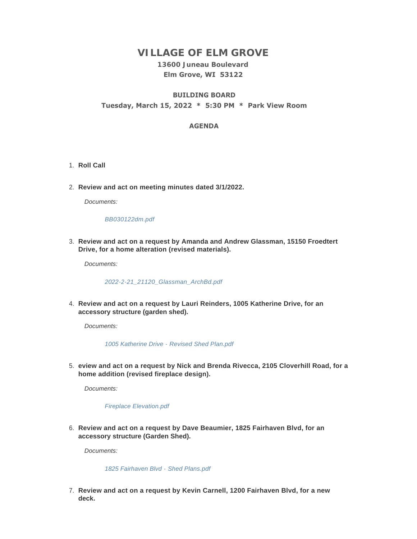# **VILLAGE OF ELM GROVE**

# **13600 Juneau Boulevard Elm Grove, WI 53122**

# **BUILDING BOARD Tuesday, March 15, 2022 \* 5:30 PM \* Park View Room**

### **AGENDA**

- 1. Roll Call
- **Review and act on meeting minutes dated 3/1/2022.** 2.

*Documents:*

#### *[BB030122dm.pdf](https://elmgrovewi.org/AgendaCenter/ViewFile/Item/11591?fileID=18191)*

**Review and act on a request by Amanda and Andrew Glassman, 15150 Froedtert**  3. **Drive, for a home alteration (revised materials).** 

*Documents:*

*[2022-2-21\\_21120\\_Glassman\\_ArchBd.pdf](https://elmgrovewi.org/AgendaCenter/ViewFile/Item/11585?fileID=18185)*

**Review and act on a request by Lauri Reinders, 1005 Katherine Drive, for an**  4. **accessory structure (garden shed).** 

*Documents:*

*[1005 Katherine Drive - Revised Shed Plan.pdf](https://elmgrovewi.org/AgendaCenter/ViewFile/Item/11586?fileID=18186)*

**eview and act on a request by Nick and Brenda Rivecca, 2105 Cloverhill Road, for a**  5. **home addition (revised fireplace design).** 

*Documents:*

*[Fireplace Elevation.pdf](https://elmgrovewi.org/AgendaCenter/ViewFile/Item/11587?fileID=18187)*

**Review and act on a request by Dave Beaumier, 1825 Fairhaven Blvd, for an**  6. **accessory structure (Garden Shed).** 

*Documents:*

*[1825 Fairhaven Blvd - Shed Plans.pdf](https://elmgrovewi.org/AgendaCenter/ViewFile/Item/11588?fileID=18188)*

**Review and act on a request by Kevin Carnell, 1200 Fairhaven Blvd, for a new**  7. **deck.**